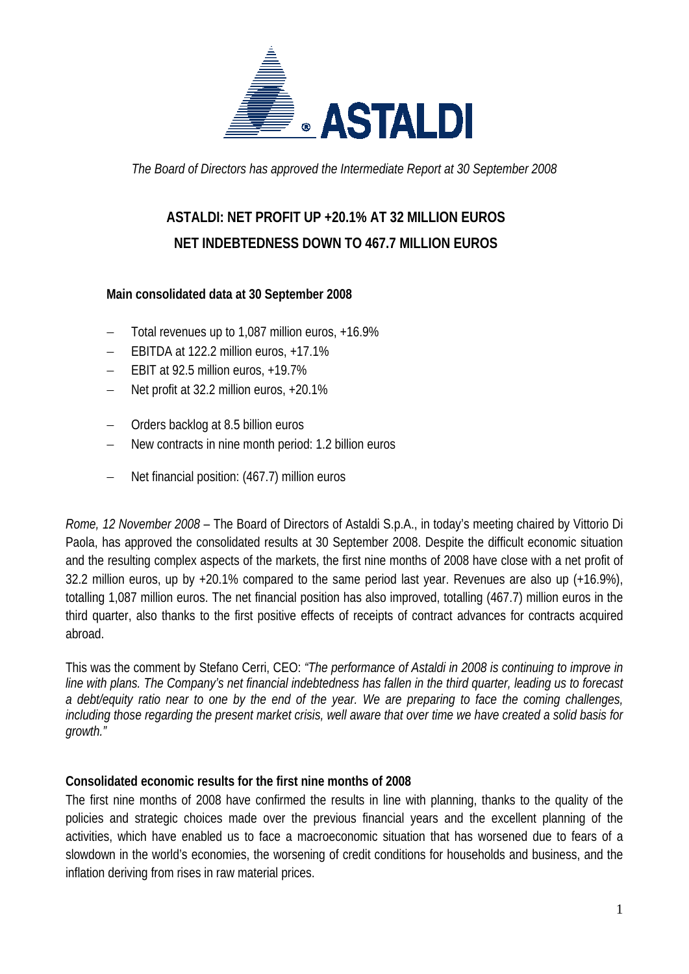

*The Board of Directors has approved the Intermediate Report at 30 September 2008* 

## **ASTALDI: NET PROFIT UP +20.1% AT 32 MILLION EUROS NET INDEBTEDNESS DOWN TO 467.7 MILLION EUROS**

#### **Main consolidated data at 30 September 2008**

- − Total revenues up to 1,087 million euros, +16.9%
- EBITDA at 122.2 million euros, +17.1%
- EBIT at 92.5 million euros, +19.7%
- − Net profit at 32.2 million euros, +20.1%
- − Orders backlog at 8.5 billion euros
- New contracts in nine month period: 1.2 billion euros
- − Net financial position: (467.7) million euros

*Rome, 12 November 2008* – The Board of Directors of Astaldi S.p.A., in today's meeting chaired by Vittorio Di Paola, has approved the consolidated results at 30 September 2008. Despite the difficult economic situation and the resulting complex aspects of the markets, the first nine months of 2008 have close with a net profit of 32.2 million euros, up by +20.1% compared to the same period last year. Revenues are also up (+16.9%), totalling 1,087 million euros. The net financial position has also improved, totalling (467.7) million euros in the third quarter, also thanks to the first positive effects of receipts of contract advances for contracts acquired abroad.

This was the comment by Stefano Cerri, CEO: *"The performance of Astaldi in 2008 is continuing to improve in line with plans. The Company's net financial indebtedness has fallen in the third quarter, leading us to forecast a debt/equity ratio near to one by the end of the year. We are preparing to face the coming challenges, including those regarding the present market crisis, well aware that over time we have created a solid basis for growth."* 

#### **Consolidated economic results for the first nine months of 2008**

The first nine months of 2008 have confirmed the results in line with planning, thanks to the quality of the policies and strategic choices made over the previous financial years and the excellent planning of the activities, which have enabled us to face a macroeconomic situation that has worsened due to fears of a slowdown in the world's economies, the worsening of credit conditions for households and business, and the inflation deriving from rises in raw material prices.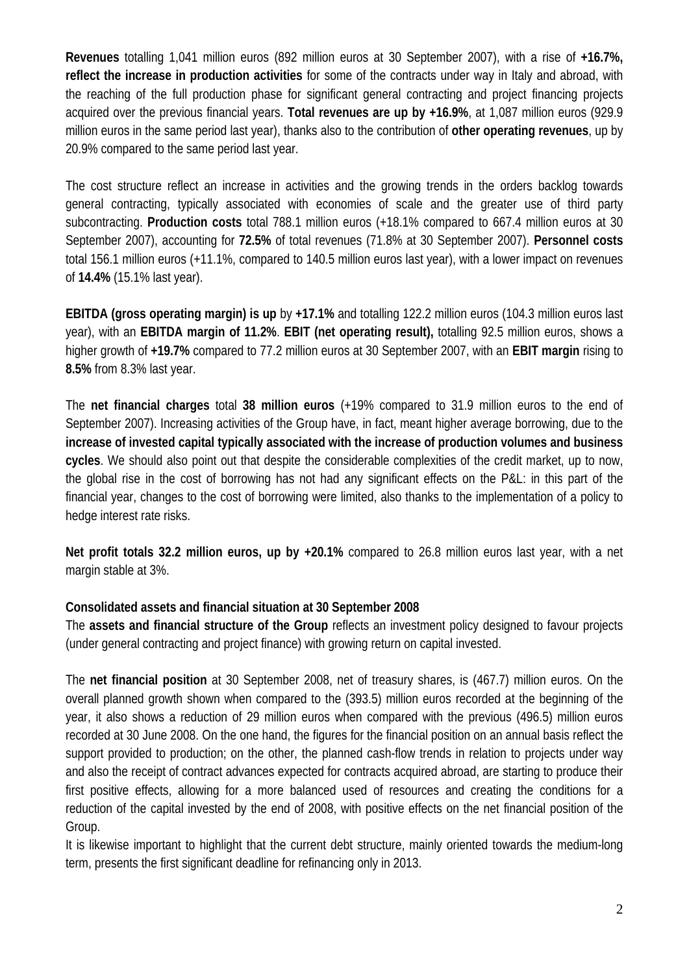**Revenues** totalling 1,041 million euros (892 million euros at 30 September 2007), with a rise of **+16.7%, reflect the increase in production activities** for some of the contracts under way in Italy and abroad, with the reaching of the full production phase for significant general contracting and project financing projects acquired over the previous financial years. **Total revenues are up by +16.9%**, at 1,087 million euros (929.9 million euros in the same period last year), thanks also to the contribution of **other operating revenues**, up by 20.9% compared to the same period last year.

The cost structure reflect an increase in activities and the growing trends in the orders backlog towards general contracting, typically associated with economies of scale and the greater use of third party subcontracting. **Production costs** total 788.1 million euros (+18.1% compared to 667.4 million euros at 30 September 2007), accounting for **72.5%** of total revenues (71.8% at 30 September 2007). **Personnel costs** total 156.1 million euros (+11.1%, compared to 140.5 million euros last year), with a lower impact on revenues of **14.4%** (15.1% last year).

**EBITDA (gross operating margin) is up** by **+17.1%** and totalling 122.2 million euros (104.3 million euros last year), with an **EBITDA margin of 11.2%**. **EBIT (net operating result),** totalling 92.5 million euros, shows a higher growth of **+19.7%** compared to 77.2 million euros at 30 September 2007, with an **EBIT margin** rising to **8.5%** from 8.3% last year.

The **net financial charges** total **38 million euros** (+19% compared to 31.9 million euros to the end of September 2007). Increasing activities of the Group have, in fact, meant higher average borrowing, due to the **increase of invested capital typically associated with the increase of production volumes and business cycles**. We should also point out that despite the considerable complexities of the credit market, up to now, the global rise in the cost of borrowing has not had any significant effects on the P&L: in this part of the financial year, changes to the cost of borrowing were limited, also thanks to the implementation of a policy to hedge interest rate risks.

**Net profit totals 32.2 million euros, up by +20.1%** compared to 26.8 million euros last year, with a net margin stable at 3%.

#### **Consolidated assets and financial situation at 30 September 2008**

The **assets and financial structure of the Group** reflects an investment policy designed to favour projects (under general contracting and project finance) with growing return on capital invested.

The **net financial position** at 30 September 2008, net of treasury shares, is (467.7) million euros. On the overall planned growth shown when compared to the (393.5) million euros recorded at the beginning of the year, it also shows a reduction of 29 million euros when compared with the previous (496.5) million euros recorded at 30 June 2008. On the one hand, the figures for the financial position on an annual basis reflect the support provided to production; on the other, the planned cash-flow trends in relation to projects under way and also the receipt of contract advances expected for contracts acquired abroad, are starting to produce their first positive effects, allowing for a more balanced used of resources and creating the conditions for a reduction of the capital invested by the end of 2008, with positive effects on the net financial position of the Group.

It is likewise important to highlight that the current debt structure, mainly oriented towards the medium-long term, presents the first significant deadline for refinancing only in 2013.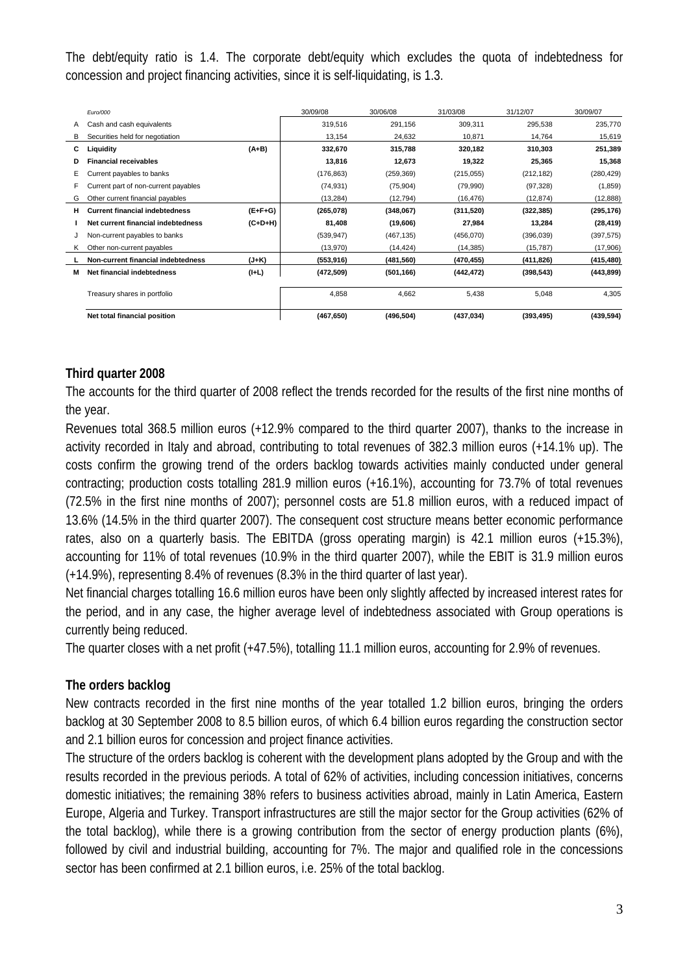The debt/equity ratio is 1.4. The corporate debt/equity which excludes the quota of indebtedness for concession and project financing activities, since it is self-liquidating, is 1.3.

|   | Euro/000                              |           | 30/09/08   | 30/06/08   | 31/03/08   | 31/12/07   | 30/09/07   |
|---|---------------------------------------|-----------|------------|------------|------------|------------|------------|
| A | Cash and cash equivalents             |           | 319,516    | 291,156    | 309,311    | 295,538    | 235,770    |
| в | Securities held for negotiation       |           | 13,154     | 24,632     | 10,871     | 14.764     | 15,619     |
| С | Liquidity                             | $(A+B)$   | 332,670    | 315,788    | 320,182    | 310,303    | 251,389    |
| D | <b>Financial receivables</b>          |           | 13,816     | 12,673     | 19,322     | 25,365     | 15,368     |
| Е | Current payables to banks             |           | (176, 863) | (259, 369) | (215, 055) | (212, 182) | (280, 429) |
| F | Current part of non-current payables  |           | (74, 931)  | (75, 904)  | (79,990)   | (97, 328)  | (1,859)    |
| G | Other current financial payables      |           | (13, 284)  | (12, 794)  | (16, 476)  | (12, 874)  | (12, 888)  |
| н | <b>Current financial indebtedness</b> | $(E+F+G)$ | (265,078)  | (348,067)  | (311,520)  | (322, 385) | (295, 176) |
|   | Net current financial indebtedness    | $(C+D+H)$ | 81,408     | (19,606)   | 27,984     | 13,284     | (28, 419)  |
| J | Non-current payables to banks         |           | (539, 947) | (467, 135) | (456,070)  | (396,039)  | (397, 575) |
| ĸ | Other non-current payables            |           | (13,970)   | (14, 424)  | (14, 385)  | (15, 787)  | (17,906)   |
|   | Non-current financial indebtedness    | (J+K)     | (553, 916) | (481, 560) | (470, 455) | (411, 826) | (415, 480) |
| M | Net financial indebtedness            | $(I+L)$   | (472, 509) | (501, 166) | (442, 472) | (398, 543) | (443, 899) |
|   | Treasury shares in portfolio          |           | 4,858      | 4.662      | 5,438      | 5,048      | 4,305      |
|   | Net total financial position          |           | (467, 650) | (496, 504) | (437, 034) | (393, 495) | (439, 594) |

### **Third quarter 2008**

The accounts for the third quarter of 2008 reflect the trends recorded for the results of the first nine months of the year.

Revenues total 368.5 million euros (+12.9% compared to the third quarter 2007), thanks to the increase in activity recorded in Italy and abroad, contributing to total revenues of 382.3 million euros (+14.1% up). The costs confirm the growing trend of the orders backlog towards activities mainly conducted under general contracting; production costs totalling 281.9 million euros (+16.1%), accounting for 73.7% of total revenues (72.5% in the first nine months of 2007); personnel costs are 51.8 million euros, with a reduced impact of 13.6% (14.5% in the third quarter 2007). The consequent cost structure means better economic performance rates, also on a quarterly basis. The EBITDA (gross operating margin) is 42.1 million euros (+15.3%), accounting for 11% of total revenues (10.9% in the third quarter 2007), while the EBIT is 31.9 million euros (+14.9%), representing 8.4% of revenues (8.3% in the third quarter of last year).

Net financial charges totalling 16.6 million euros have been only slightly affected by increased interest rates for the period, and in any case, the higher average level of indebtedness associated with Group operations is currently being reduced.

The quarter closes with a net profit (+47.5%), totalling 11.1 million euros, accounting for 2.9% of revenues.

#### **The orders backlog**

New contracts recorded in the first nine months of the year totalled 1.2 billion euros, bringing the orders backlog at 30 September 2008 to 8.5 billion euros, of which 6.4 billion euros regarding the construction sector and 2.1 billion euros for concession and project finance activities.

The structure of the orders backlog is coherent with the development plans adopted by the Group and with the results recorded in the previous periods. A total of 62% of activities, including concession initiatives, concerns domestic initiatives; the remaining 38% refers to business activities abroad, mainly in Latin America, Eastern Europe, Algeria and Turkey. Transport infrastructures are still the major sector for the Group activities (62% of the total backlog), while there is a growing contribution from the sector of energy production plants (6%), followed by civil and industrial building, accounting for 7%. The major and qualified role in the concessions sector has been confirmed at 2.1 billion euros, i.e. 25% of the total backlog.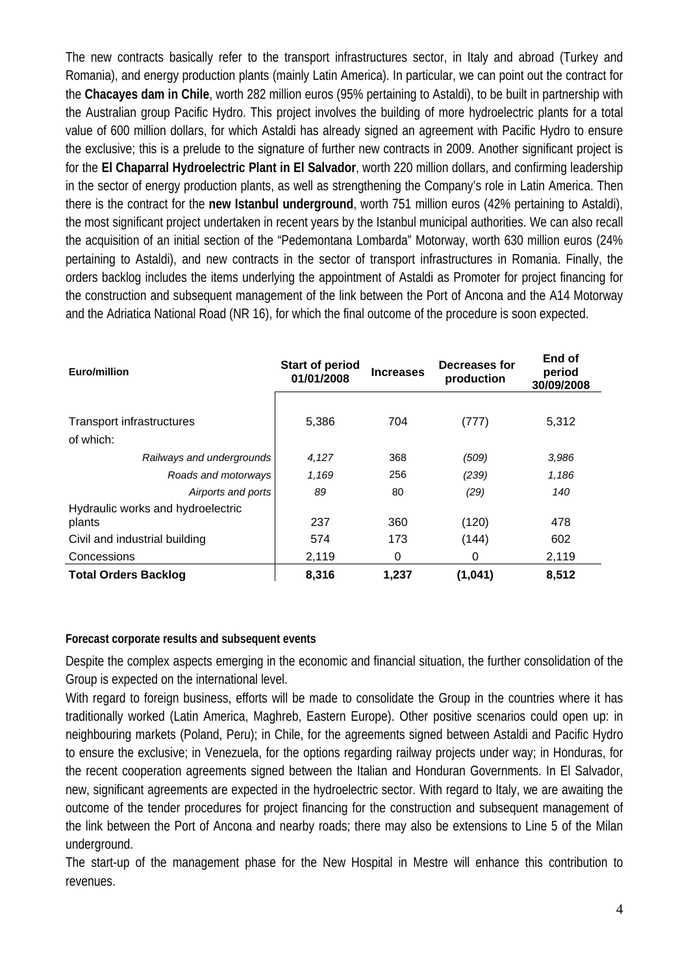The new contracts basically refer to the transport infrastructures sector, in Italy and abroad (Turkey and Romania), and energy production plants (mainly Latin America). In particular, we can point out the contract for the **Chacayes dam in Chile**, worth 282 million euros (95% pertaining to Astaldi), to be built in partnership with the Australian group Pacific Hydro. This project involves the building of more hydroelectric plants for a total value of 600 million dollars, for which Astaldi has already signed an agreement with Pacific Hydro to ensure the exclusive; this is a prelude to the signature of further new contracts in 2009. Another significant project is for the **El Chaparral Hydroelectric Plant in El Salvador**, worth 220 million dollars, and confirming leadership in the sector of energy production plants, as well as strengthening the Company's role in Latin America. Then there is the contract for the **new Istanbul underground**, worth 751 million euros (42% pertaining to Astaldi), the most significant project undertaken in recent years by the Istanbul municipal authorities. We can also recall the acquisition of an initial section of the "Pedemontana Lombarda" Motorway, worth 630 million euros (24% pertaining to Astaldi), and new contracts in the sector of transport infrastructures in Romania. Finally, the orders backlog includes the items underlying the appointment of Astaldi as Promoter for project financing for the construction and subsequent management of the link between the Port of Ancona and the A14 Motorway and the Adriatica National Road (NR 16), for which the final outcome of the procedure is soon expected.

| Euro/million                                | <b>Start of period</b><br>01/01/2008 | <b>Increases</b> | Decreases for<br>production | End of<br>period<br>30/09/2008 |  |
|---------------------------------------------|--------------------------------------|------------------|-----------------------------|--------------------------------|--|
| Transport infrastructures<br>of which:      | 5,386                                | 704              | (777)                       | 5,312                          |  |
| Railways and undergrounds                   | 4,127                                | 368              | (509)                       | 3,986                          |  |
| Roads and motorways                         | 1,169                                | 256              | (239)                       | 1,186                          |  |
| Airports and ports                          | 89                                   | 80               | (29)                        | 140                            |  |
| Hydraulic works and hydroelectric<br>plants | 237                                  | 360              | (120)                       | 478                            |  |
| Civil and industrial building               | 574                                  | 173              | (144)                       | 602                            |  |
| Concessions                                 | 2,119                                | 0                | 0                           | 2,119                          |  |
| <b>Total Orders Backlog</b>                 | 8,316                                | 1,237            | (1,041)                     | 8,512                          |  |

#### **Forecast corporate results and subsequent events**

Despite the complex aspects emerging in the economic and financial situation, the further consolidation of the Group is expected on the international level.

With regard to foreign business, efforts will be made to consolidate the Group in the countries where it has traditionally worked (Latin America, Maghreb, Eastern Europe). Other positive scenarios could open up: in neighbouring markets (Poland, Peru); in Chile, for the agreements signed between Astaldi and Pacific Hydro to ensure the exclusive; in Venezuela, for the options regarding railway projects under way; in Honduras, for the recent cooperation agreements signed between the Italian and Honduran Governments. In El Salvador, new, significant agreements are expected in the hydroelectric sector. With regard to Italy, we are awaiting the outcome of the tender procedures for project financing for the construction and subsequent management of the link between the Port of Ancona and nearby roads; there may also be extensions to Line 5 of the Milan underground.

The start-up of the management phase for the New Hospital in Mestre will enhance this contribution to revenues.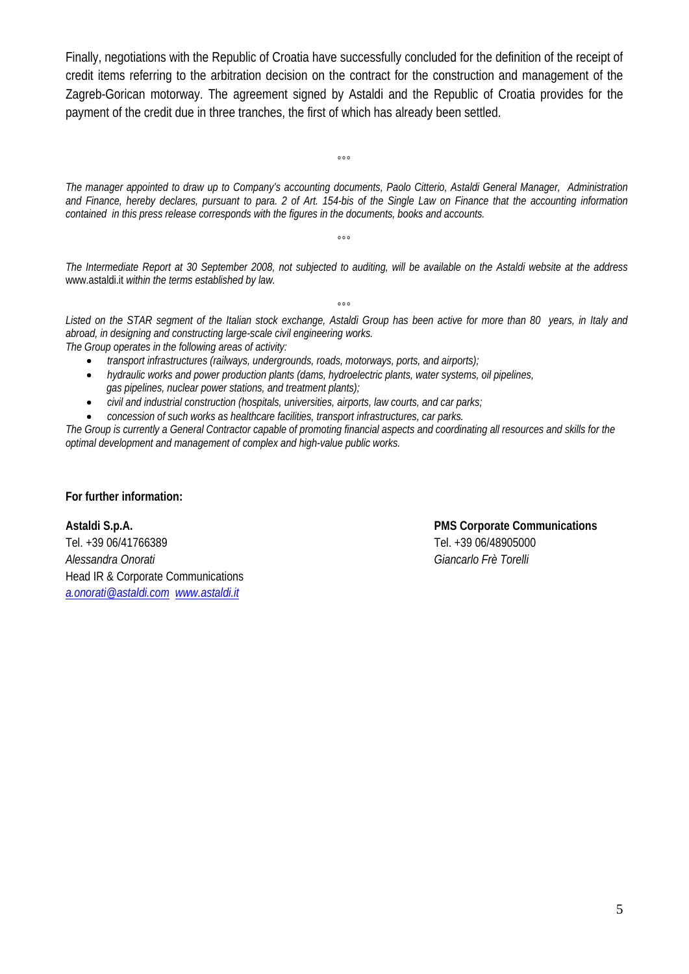Finally, negotiations with the Republic of Croatia have successfully concluded for the definition of the receipt of credit items referring to the arbitration decision on the contract for the construction and management of the Zagreb-Gorican motorway. The agreement signed by Astaldi and the Republic of Croatia provides for the payment of the credit due in three tranches, the first of which has already been settled.

*The manager appointed to draw up to Company's accounting documents, Paolo Citterio, Astaldi General Manager, Administration and Finance, hereby declares, pursuant to para. 2 of Art. 154-bis of the Single Law on Finance that the accounting information contained in this press release corresponds with the figures in the documents, books and accounts.* 

 $^{\circ}$ 

 $000$ 

*The Intermediate Report at 30 September 2008, not subjected to auditing, will be available on the Astaldi website at the address*  www.astaldi.it *within the terms established by law.* 

 $000$ 

*Listed on the STAR segment of the Italian stock exchange, Astaldi Group has been active for more than 80 years, in Italy and abroad, in designing and constructing large-scale civil engineering works. The Group operates in the following areas of activity:* 

- *transport infrastructures (railways, undergrounds, roads, motorways, ports, and airports);*
- *hydraulic works and power production plants (dams, hydroelectric plants, water systems, oil pipelines, gas pipelines, nuclear power stations, and treatment plants);*
- *civil and industrial construction (hospitals, universities, airports, law courts, and car parks;*
- *concession of such works as healthcare facilities, transport infrastructures, car parks.*

*The Group is currently a General Contractor capable of promoting financial aspects and coordinating all resources and skills for the optimal development and management of complex and high-value public works.* 

#### **For further information:**

Tel. +39 06/41766389 Tel. +39 06/48905000 *Alessandra Onorati Giancarlo Frè Torelli*  Head IR & Corporate Communications *a.onorati@astaldi.com www.astaldi.it*

# **Astaldi S.p.A. PMS Corporate Communications**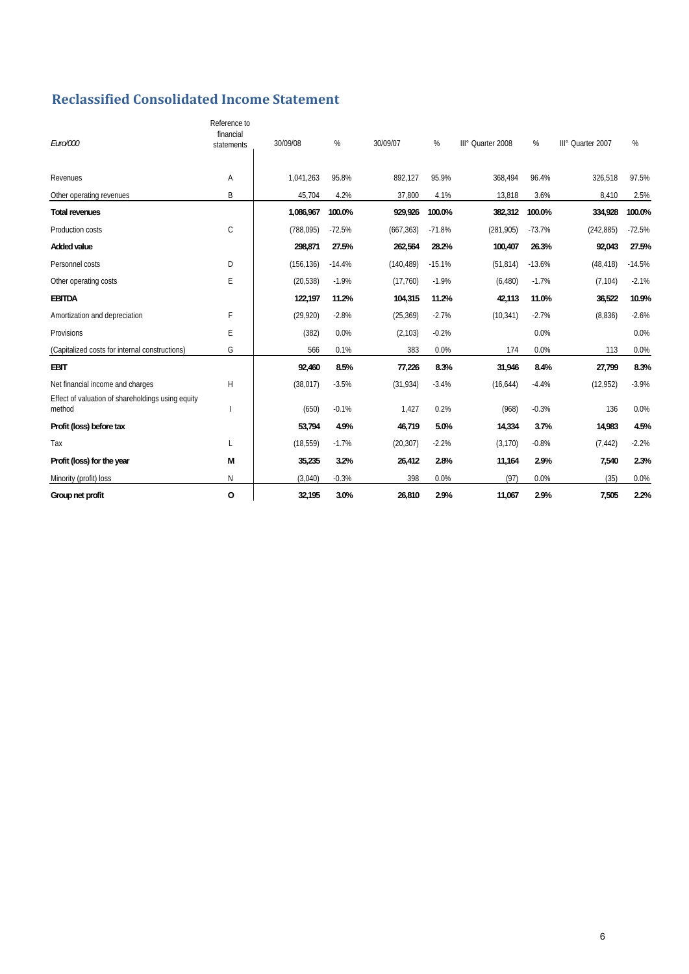## **Reclassified Consolidated Income Statement**

| Euro/000                                                    | Reference to<br>financial<br>statements | 30/09/08   | %        | 30/09/07   | %        | III° Quarter 2008 | %        | III° Quarter 2007 | %        |
|-------------------------------------------------------------|-----------------------------------------|------------|----------|------------|----------|-------------------|----------|-------------------|----------|
| Revenues                                                    | Α                                       | 1,041,263  | 95.8%    | 892.127    | 95.9%    | 368,494           | 96.4%    | 326,518           | 97.5%    |
| Other operating revenues                                    | B                                       | 45,704     | 4.2%     | 37,800     | 4.1%     | 13,818            | 3.6%     | 8,410             | 2.5%     |
| <b>Total revenues</b>                                       |                                         | 1,086,967  | 100.0%   | 929,926    | 100.0%   | 382,312           | 100.0%   | 334,928           | 100.0%   |
| Production costs                                            | C                                       | (788,095)  | $-72.5%$ | (667, 363) | $-71.8%$ | (281,905)         | $-73.7%$ | (242, 885)        | $-72.5%$ |
| <b>Added value</b>                                          |                                         | 298,871    | 27.5%    | 262,564    | 28.2%    | 100,407           | 26.3%    | 92,043            | 27.5%    |
| Personnel costs                                             | D                                       | (156, 136) | $-14.4%$ | (140, 489) | $-15.1%$ | (51, 814)         | $-13.6%$ | (48, 418)         | $-14.5%$ |
| Other operating costs                                       | E                                       | (20, 538)  | $-1.9%$  | (17,760)   | $-1.9%$  | (6, 480)          | $-1.7%$  | (7, 104)          | $-2.1%$  |
| <b>EBITDA</b>                                               |                                         | 122,197    | 11.2%    | 104,315    | 11.2%    | 42,113            | 11.0%    | 36,522            | 10.9%    |
| Amortization and depreciation                               | F                                       | (29, 920)  | $-2.8%$  | (25, 369)  | $-2.7%$  | (10, 341)         | $-2.7%$  | (8,836)           | $-2.6%$  |
| Provisions                                                  | E                                       | (382)      | 0.0%     | (2, 103)   | $-0.2%$  |                   | 0.0%     |                   | 0.0%     |
| (Capitalized costs for internal constructions)              | G                                       | 566        | 0.1%     | 383        | 0.0%     | 174               | 0.0%     | 113               | 0.0%     |
| <b>EBIT</b>                                                 |                                         | 92,460     | 8.5%     | 77,226     | 8.3%     | 31,946            | 8.4%     | 27,799            | 8.3%     |
| Net financial income and charges                            | H                                       | (38, 017)  | $-3.5%$  | (31, 934)  | $-3.4%$  | (16, 644)         | $-4.4%$  | (12, 952)         | $-3.9%$  |
| Effect of valuation of shareholdings using equity<br>method |                                         | (650)      | $-0.1%$  | 1.427      | 0.2%     | (968)             | $-0.3%$  | 136               | 0.0%     |
| Profit (loss) before tax                                    |                                         | 53,794     | 4.9%     | 46,719     | 5.0%     | 14,334            | 3.7%     | 14,983            | 4.5%     |
| Tax                                                         | L                                       | (18, 559)  | $-1.7%$  | (20, 307)  | $-2.2%$  | (3, 170)          | $-0.8%$  | (7, 442)          | $-2.2%$  |
| Profit (loss) for the year                                  | M                                       | 35,235     | 3.2%     | 26,412     | 2.8%     | 11,164            | 2.9%     | 7,540             | 2.3%     |
| Minority (profit) loss                                      | $\mathsf{N}$                            | (3,040)    | $-0.3%$  | 398        | 0.0%     | (97)              | 0.0%     | (35)              | 0.0%     |
| Group net profit                                            | $\mathbf 0$                             | 32,195     | 3.0%     | 26,810     | 2.9%     | 11,067            | 2.9%     | 7,505             | 2.2%     |